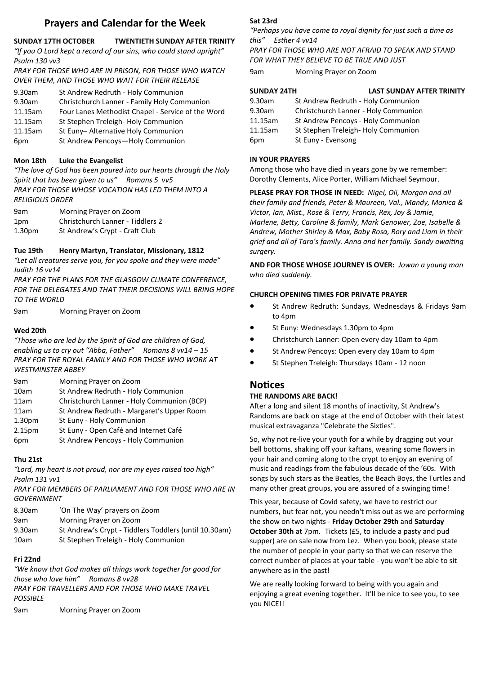# **Prayers and Calendar for the Week**

# **SUNDAY 17TH OCTOBER TWENTIETH SUNDAY AFTER TRINITY**

*"If you O Lord kept a record of our sins, who could stand upright" Psalm 130 vv3*

*PRAY FOR THOSE WHO ARE IN PRISON, FOR THOSE WHO WATCH OVER THEM, AND THOSE WHO WAIT FOR THEIR RELEASE*

| 9.30am  | St Andrew Redruth - Holy Communion                |
|---------|---------------------------------------------------|
| 9.30am  | Christchurch Lanner - Family Holy Communion       |
| 11.15am | Four Lanes Methodist Chapel - Service of the Word |
| 11.15am | St Stephen Treleigh-Holy Communion                |
| 11.15am | St Euny-Alternative Holy Communion                |
| 6pm     | St Andrew Pencoys-Holy Communion                  |

# **Mon 18th Luke the Evangelist**

*"The love of God has been poured into our hearts through the Holy Spirit that has been given to us" Romans 5 vv5 PRAY FOR THOSE WHOSE VOCATION HAS LED THEM INTO A RELIGIOUS ORDER*

| 9am                | Morning Prayer on Zoom           |
|--------------------|----------------------------------|
| 1pm                | Christchurch Lanner - Tiddlers 2 |
| 1.30 <sub>pm</sub> | St Andrew's Crypt - Craft Club   |

# **Tue 19th Henry Martyn, Translator, Missionary, 1812**

*"Let all creatures serve you, for you spoke and they were made" Judith 16 vv14*

*PRAY FOR THE PLANS FOR THE GLASGOW CLIMATE CONFERENCE, FOR THE DELEGATES AND THAT THEIR DECISIONS WILL BRING HOPE TO THE WORLD*

9am Morning Prayer on Zoom

# **Wed 20th**

*"Those who are led by the Spirit of God are children of God, enabling us to cry out "Abba, Father" Romans 8 vv14 – 15 PRAY FOR THE ROYAL FAMILY AND FOR THOSE WHO WORK AT WESTMINSTER ABBEY*

| Morning Prayer on Zoom                     |
|--------------------------------------------|
| St Andrew Redruth - Holy Communion         |
| Christchurch Lanner - Holy Communion (BCP) |
| St Andrew Redruth - Margaret's Upper Room  |
| St Euny - Holy Communion                   |
| St Euny - Open Café and Internet Café      |
| St Andrew Pencoys - Holy Communion         |
|                                            |

# **Thu 21st**

*"Lord, my heart is not proud, nor are my eyes raised too high" Psalm 131 vv1*

*PRAY FOR MEMBERS OF PARLIAMENT AND FOR THOSE WHO ARE IN GOVERNMENT*

| 8.30am | 'On The Way' prayers on Zoom                          |
|--------|-------------------------------------------------------|
| 9am    | Morning Prayer on Zoom                                |
| 9.30am | St Andrew's Crypt - Tiddlers Toddlers (until 10.30am) |
| 10am   | St Stephen Treleigh - Holy Communion                  |

# **Fri 22nd**

*"We know that God makes all things work together for good for those who love him" Romans 8 vv28* **PRAY FOR TRAVELLERS AND FOR THOSE WHO MAKE TRAVEL** *POSSIBLE* 9am Morning Prayer on Zoom

# **Sat 23rd**

*"Perhaps you have come to royal dignity for just such a time as this" Esther 4 vv14*

*PRAY FOR THOSE WHO ARE NOT AFRAID TO SPEAK AND STAND FOR WHAT THEY BELIEVE TO BE TRUE AND JUST*

9am Morning Prayer on Zoom

# **SUNDAY 24TH LAST SUNDAY AFTER TRINITY**

| 9.30am  | St Andrew Redruth - Holy Communion   |
|---------|--------------------------------------|
| 9.30am  | Christchurch Lanner - Holy Communion |
| 11.15am | St Andrew Pencoys - Holy Communion   |
| 11.15am | St Stephen Treleigh-Holy Communion   |
| 6pm     | St Euny - Evensong                   |

## **IN YOUR PRAYERS**

Among those who have died in years gone by we remember: Dorothy Clements, Alice Porter, William Michael Seymour.

**PLEASE PRAY FOR THOSE IN NEED:** *Nigel, Oli, Morgan and all their family and friends, Peter & Maureen, Val., Mandy, Monica & Victor, Ian, Mist., Rose & Terry, Francis, Rex, Joy & Jamie, Marlene, Betty, Caroline & family, Mark Genower, Zoe, Isabelle & Andrew, Mother Shirley & Max, Baby Rosa, Rory and Liam in their grief and all of Tara's family. Anna and her family. Sandy awaiting surgery.*

**AND FOR THOSE WHOSE JOURNEY IS OVER:** *Jowan a young man who died suddenly.*

## **CHURCH OPENING TIMES FOR PRIVATE PRAYER**

- St Andrew Redruth: Sundays, Wednesdays & Fridays 9am to 4pm
- St Euny: Wednesdays 1.30pm to 4pm
- Christchurch Lanner: Open every day 10am to 4pm
- St Andrew Pencoys: Open every day 10am to 4pm
- St Stephen Treleigh: Thursdays 10am 12 noon

# **Notices**

# **THE RANDOMS ARE BACK!**

After a long and silent 18 months of inactivity, St Andrew's Randoms are back on stage at the end of October with their latest musical extravaganza "Celebrate the Sixties".

So, why not re-live your youth for a while by dragging out your bell bottoms, shaking off your kaftans, wearing some flowers in your hair and coming along to the crypt to enjoy an evening of music and readings from the fabulous decade of the '60s. With songs by such stars as the Beatles, the Beach Boys, the Turtles and many other great groups, you are assured of a swinging time!

This year, because of Covid safety, we have to restrict our numbers, but fear not, you needn't miss out as we are performing the show on two nights - **Friday October 29th** and **Saturday October 30th** at 7pm. Tickets (£5, to include a pasty and pud supper) are on sale now from Lez. When you book, please state the number of people in your party so that we can reserve the correct number of places at your table - you won't be able to sit anywhere as in the past!

We are really looking forward to being with you again and enjoying a great evening together. It'll be nice to see you, to see you NICE!!